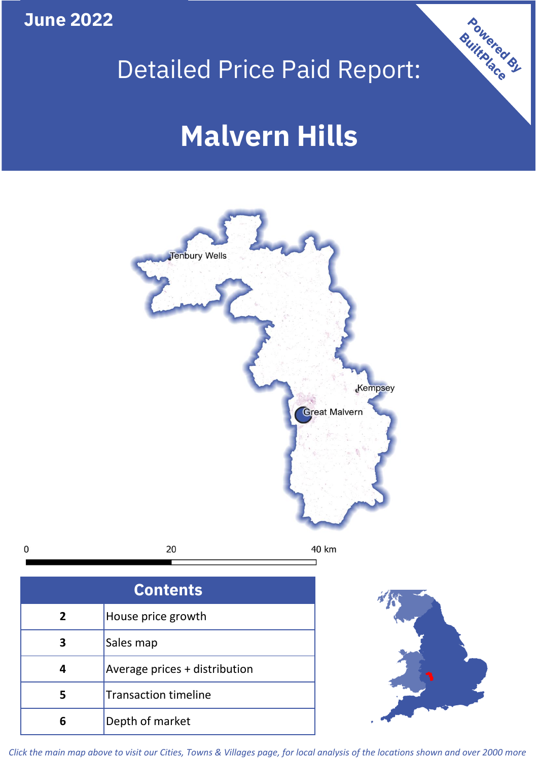**June 2022**

## Detailed Price Paid Report:

Powered By

# **Malvern Hills**



*Click the main map above to visit our Cities, Towns & Villages page, for local analysis of the locations shown and over 2000 more*

**6** Depth of market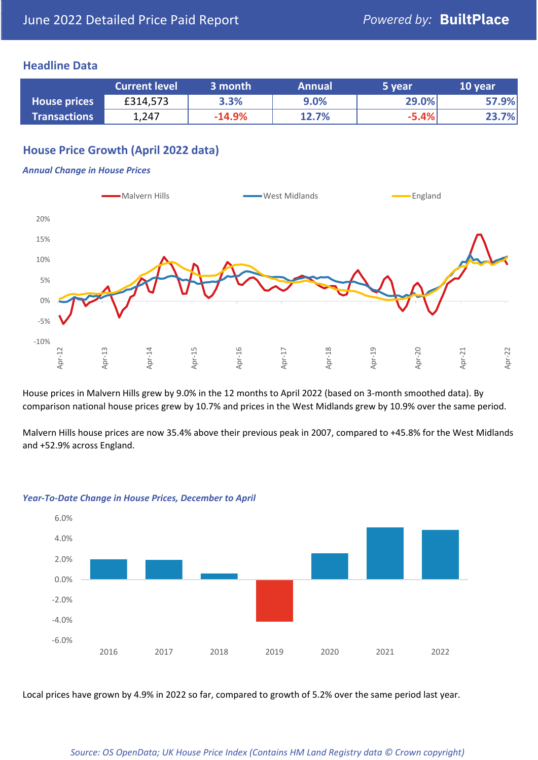## **Headline Data**

|                     | <b>Current level</b> | 3 month  | <b>Annual</b> | 5 year  | 10 year |
|---------------------|----------------------|----------|---------------|---------|---------|
| <b>House prices</b> | £314,573             | 3.3%     | 9.0%          | 29.0%   | 57.9%   |
| <b>Transactions</b> | 1,247                | $-14.9%$ | 12.7%         | $-5.4%$ | 23.7%   |

## **House Price Growth (April 2022 data)**

#### *Annual Change in House Prices*



House prices in Malvern Hills grew by 9.0% in the 12 months to April 2022 (based on 3-month smoothed data). By comparison national house prices grew by 10.7% and prices in the West Midlands grew by 10.9% over the same period.

Malvern Hills house prices are now 35.4% above their previous peak in 2007, compared to +45.8% for the West Midlands and +52.9% across England.



#### *Year-To-Date Change in House Prices, December to April*

Local prices have grown by 4.9% in 2022 so far, compared to growth of 5.2% over the same period last year.

#### *Source: OS OpenData; UK House Price Index (Contains HM Land Registry data © Crown copyright)*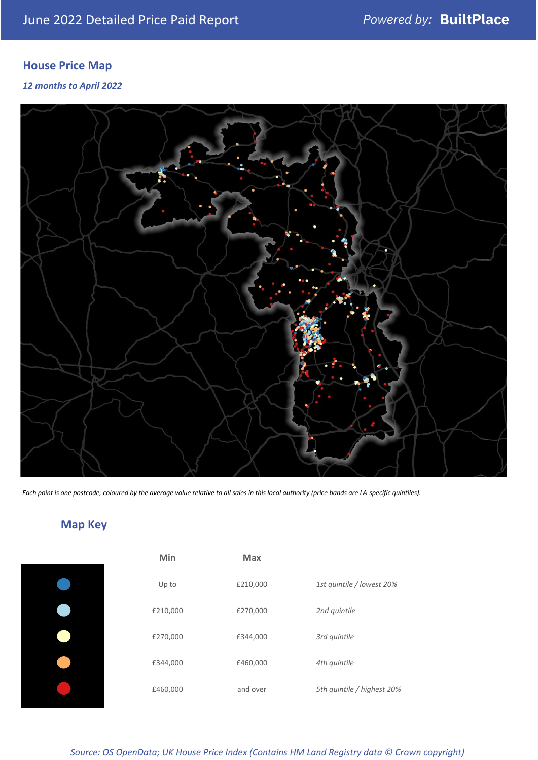## **House Price Map**

### *12 months to April 2022*



*Each point is one postcode, coloured by the average value relative to all sales in this local authority (price bands are LA-specific quintiles).*

## **Map Key**

| Min      | <b>Max</b> |                            |
|----------|------------|----------------------------|
| Up to    | £210,000   | 1st quintile / lowest 20%  |
| £210,000 | £270,000   | 2nd quintile               |
| £270,000 | £344,000   | 3rd quintile               |
| £344,000 | £460,000   | 4th quintile               |
| £460,000 | and over   | 5th quintile / highest 20% |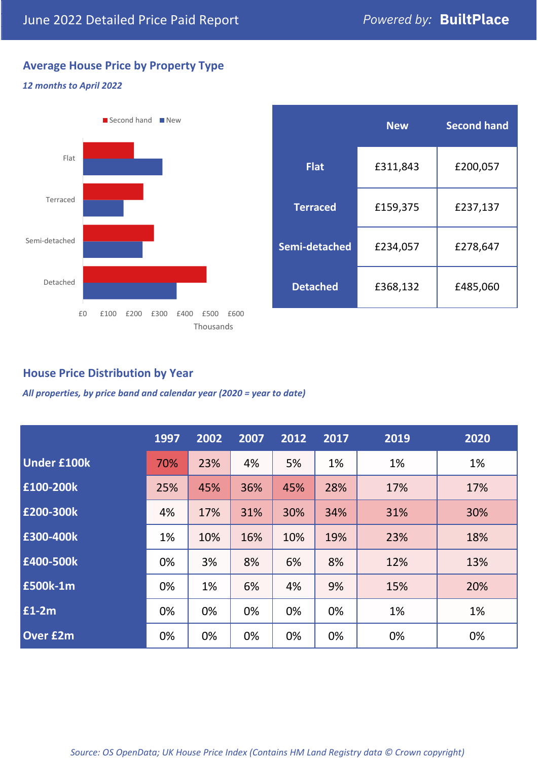## **Average House Price by Property Type**

### *12 months to April 2022*



|                 | <b>New</b> | <b>Second hand</b> |  |  |
|-----------------|------------|--------------------|--|--|
| <b>Flat</b>     | £311,843   | £200,057           |  |  |
| <b>Terraced</b> | £159,375   | £237,137           |  |  |
| Semi-detached   | £234,057   | £278,647           |  |  |
| <b>Detached</b> | £368,132   | £485,060           |  |  |

## **House Price Distribution by Year**

*All properties, by price band and calendar year (2020 = year to date)*

|                    | 1997 | 2002 | 2007 | 2012 | 2017 | 2019 | 2020 |
|--------------------|------|------|------|------|------|------|------|
| <b>Under £100k</b> | 70%  | 23%  | 4%   | 5%   | 1%   | 1%   | 1%   |
| £100-200k          | 25%  | 45%  | 36%  | 45%  | 28%  | 17%  | 17%  |
| E200-300k          | 4%   | 17%  | 31%  | 30%  | 34%  | 31%  | 30%  |
| £300-400k          | 1%   | 10%  | 16%  | 10%  | 19%  | 23%  | 18%  |
| £400-500k          | 0%   | 3%   | 8%   | 6%   | 8%   | 12%  | 13%  |
| <b>£500k-1m</b>    | 0%   | 1%   | 6%   | 4%   | 9%   | 15%  | 20%  |
| £1-2m              | 0%   | 0%   | 0%   | 0%   | 0%   | 1%   | 1%   |
| <b>Over £2m</b>    | 0%   | 0%   | 0%   | 0%   | 0%   | 0%   | 0%   |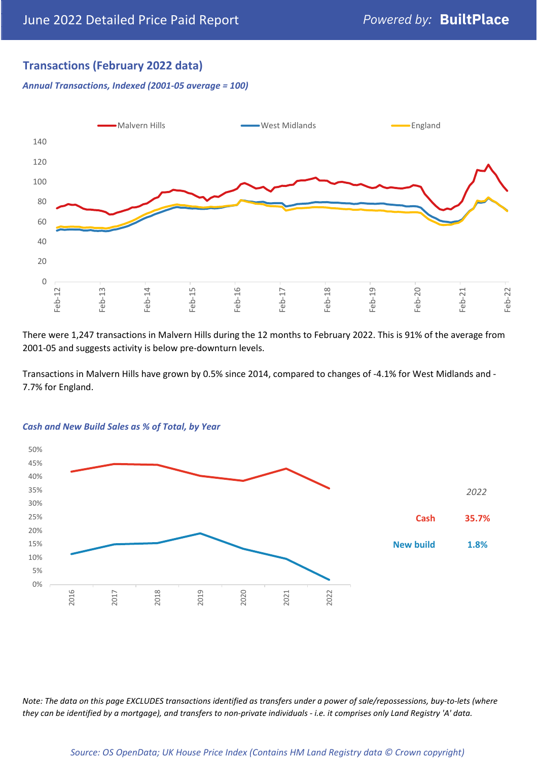## **Transactions (February 2022 data)**

*Annual Transactions, Indexed (2001-05 average = 100)*



There were 1,247 transactions in Malvern Hills during the 12 months to February 2022. This is 91% of the average from 2001-05 and suggests activity is below pre-downturn levels.

Transactions in Malvern Hills have grown by 0.5% since 2014, compared to changes of -4.1% for West Midlands and - 7.7% for England.



#### *Cash and New Build Sales as % of Total, by Year*

*Note: The data on this page EXCLUDES transactions identified as transfers under a power of sale/repossessions, buy-to-lets (where they can be identified by a mortgage), and transfers to non-private individuals - i.e. it comprises only Land Registry 'A' data.*